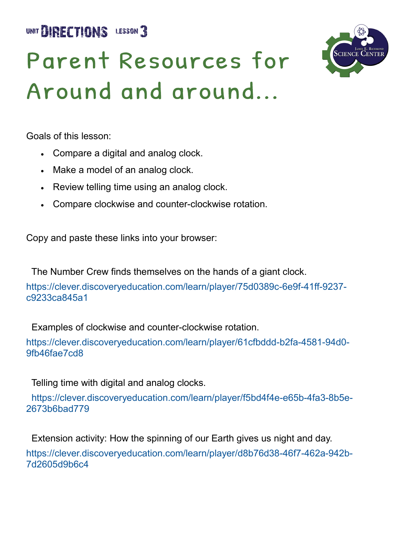UNIT **BIRECTIONS** LESSON 3



# Parent Resources for Around and around...

Goals of this lesson:

- Compare a digital and analog clock.
- Make a model of an analog clock.
- Review telling time using an analog clock.
- Compare clockwise and counter-clockwise rotation.

Copy and paste these links into your browser:

The Number Crew finds themselves on the hands of a giant clock.

https://clever.discoveryeducation.com/learn/player/75d0389c-6e9f-41ff-9237 c9233ca845a1

Examples of clockwise and counter-clockwise rotation.

https://clever.discoveryeducation.com/learn/player/61cfbddd-b2fa-4581-94d0- 9fb46fae7cd8

Telling time with digital and analog clocks.

 https://clever.discoveryeducation.com/learn/player/f5bd4f4e-e65b-4fa3-8b5e-2673b6bad779

Extension activity: How the spinning of our Earth gives us night and day.

https://clever.discoveryeducation.com/learn/player/d8b76d38-46f7-462a-942b-7d2605d9b6c4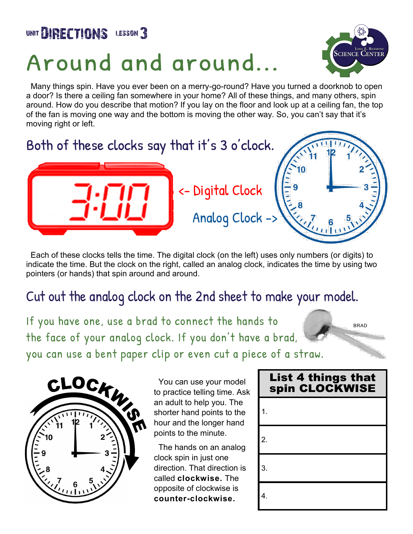### UNIT **BIRECTIONS** LESSON 3

## Around and around...



 Many things spin. Have you ever been on a merry-go-round? Have you turned a doorknob to open a door? Is there a ceiling fan somewhere in your home? All of these things, and many others, spin around. How do you describe that motion? If you lay on the floor and look up at a ceiling fan, the top of the fan is moving one way and the bottom is moving the other way. So, you can't say that it's moving right or left.



 Each of these clocks tells the time. The digital clock (on the left) uses only numbers (or digits) to indicate the time. But the clock on the right, called an analog clock, indicates the time by using two pointers (or hands) that spin around and around.

#### Cut out the analog clock on the 2nd sheet to make your model.

If you have one, use a brad to connect the hands to the face of your analog clock. If you don't have a brad, you can use a bent paper clip or even cut a piece of a straw.

BRAD



 You can use your model to practice telling time. Ask an adult to help you. The shorter hand points to the hour and the longer hand points to the minute.

 The hands on an analog clock spin in just one direction. That direction is called **clockwise.** The opposite of clockwise is **counter-clockwise.**

### **List 4 things that** spin CLOCKWISE 1. 2. 3. 4.